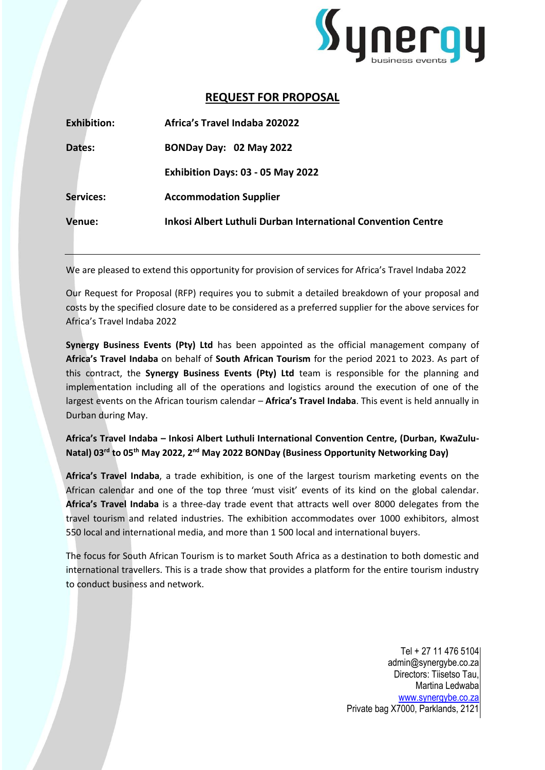

# **REQUEST FOR PROPOSAL**

| <b>Exhibition:</b> | Africa's Travel Indaba 202022                                |
|--------------------|--------------------------------------------------------------|
| Dates:             | BONDay Day: 02 May 2022                                      |
|                    | Exhibition Days: 03 - 05 May 2022                            |
| <b>Services:</b>   | <b>Accommodation Supplier</b>                                |
| Venue:             | Inkosi Albert Luthuli Durban International Convention Centre |

We are pleased to extend this opportunity for provision of services for Africa's Travel Indaba 2022

Our Request for Proposal (RFP) requires you to submit a detailed breakdown of your proposal and costs by the specified closure date to be considered as a preferred supplier for the above services for Africa's Travel Indaba 2022

**Synergy Business Events (Pty) Ltd** has been appointed as the official management company of **Africa's Travel Indaba** on behalf of **South African Tourism** for the period 2021 to 2023. As part of this contract, the **Synergy Business Events (Pty) Ltd** team is responsible for the planning and implementation including all of the operations and logistics around the execution of one of the largest events on the African tourism calendar – **Africa's Travel Indaba**. This event is held annually in Durban during May.

**Africa's Travel Indaba – Inkosi Albert Luthuli International Convention Centre, (Durban, KwaZulu-**Natal) 03<sup>rd</sup> to 05<sup>th</sup> May 2022, 2<sup>nd</sup> May 2022 BONDay (Business Opportunity Networking Day)

**Africa's Travel Indaba**, a trade exhibition, is one of the largest tourism marketing events on the African calendar and one of the top three 'must visit' events of its kind on the global calendar. **Africa's Travel Indaba** is a three-day trade event that attracts well over 8000 delegates from the travel tourism and related industries. The exhibition accommodates over 1000 exhibitors, almost 550 local and international media, and more than 1 500 local and international buyers.

The focus for South African Tourism is to market South Africa as a destination to both domestic and international travellers. This is a trade show that provides a platform for the entire tourism industry to conduct business and network.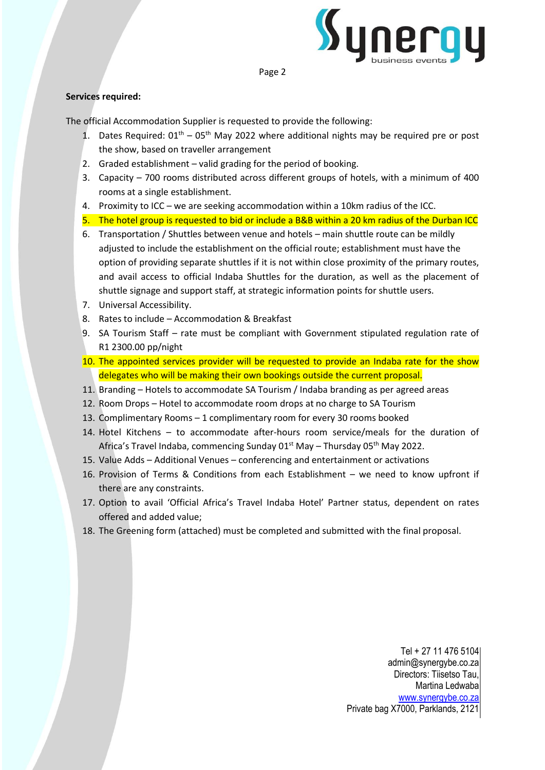

#### Page 2

## **Services required:**

The official Accommodation Supplier is requested to provide the following:

- 1. Dates Required:  $01<sup>th</sup> 05<sup>th</sup>$  May 2022 where additional nights may be required pre or post the show, based on traveller arrangement
- 2. Graded establishment valid grading for the period of booking.
- 3. Capacity 700 rooms distributed across different groups of hotels, with a minimum of 400 rooms at a single establishment.
- 4. Proximity to ICC we are seeking accommodation within a 10km radius of the ICC.
- 5. The hotel group is requested to bid or include a B&B within a 20 km radius of the Durban ICC
- 6. Transportation / Shuttles between venue and hotels main shuttle route can be mildly adjusted to include the establishment on the official route; establishment must have the option of providing separate shuttles if it is not within close proximity of the primary routes, and avail access to official Indaba Shuttles for the duration, as well as the placement of shuttle signage and support staff, at strategic information points for shuttle users.
- 7. Universal Accessibility.
- 8. Rates to include Accommodation & Breakfast
- 9. SA Tourism Staff rate must be compliant with Government stipulated regulation rate of R1 2300.00 pp/night
- 10. The appointed services provider will be requested to provide an Indaba rate for the show delegates who will be making their own bookings outside the current proposal.
- 11. Branding Hotels to accommodate SA Tourism / Indaba branding as per agreed areas
- 12. Room Drops Hotel to accommodate room drops at no charge to SA Tourism
- 13. Complimentary Rooms 1 complimentary room for every 30 rooms booked
- 14. Hotel Kitchens to accommodate after-hours room service/meals for the duration of Africa's Travel Indaba, commencing Sunday 01<sup>st</sup> May – Thursday 05<sup>th</sup> May 2022.
- 15. Value Adds Additional Venues conferencing and entertainment or activations
- 16. Provision of Terms & Conditions from each Establishment we need to know upfront if there are any constraints.
- 17. Option to avail 'Official Africa's Travel Indaba Hotel' Partner status, dependent on rates offered and added value;
- 18. The Greening form (attached) must be completed and submitted with the final proposal.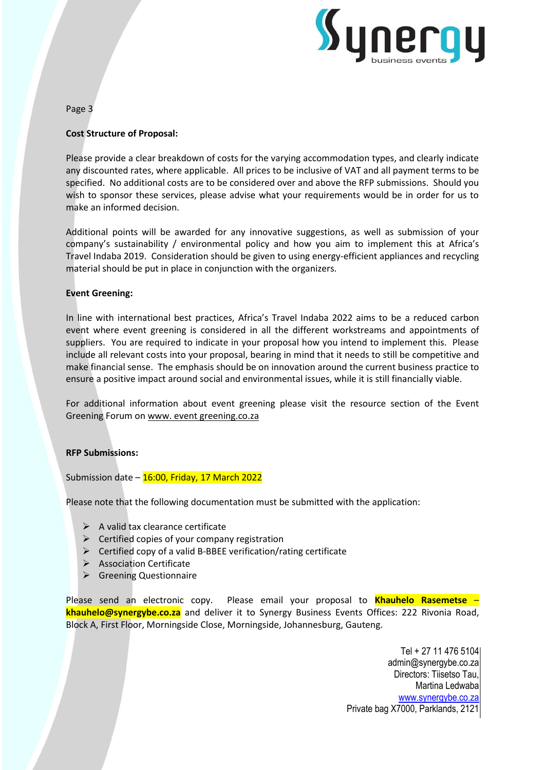

Page 3

## **Cost Structure of Proposal:**

Please provide a clear breakdown of costs for the varying accommodation types, and clearly indicate any discounted rates, where applicable. All prices to be inclusive of VAT and all payment terms to be specified. No additional costs are to be considered over and above the RFP submissions. Should you wish to sponsor these services, please advise what your requirements would be in order for us to make an informed decision.

Additional points will be awarded for any innovative suggestions, as well as submission of your company's sustainability / environmental policy and how you aim to implement this at Africa's Travel Indaba 2019. Consideration should be given to using energy-efficient appliances and recycling material should be put in place in conjunction with the organizers.

### **Event Greening:**

In line with international best practices, Africa's Travel Indaba 2022 aims to be a reduced carbon event where event greening is considered in all the different workstreams and appointments of suppliers. You are required to indicate in your proposal how you intend to implement this. Please include all relevant costs into your proposal, bearing in mind that it needs to still be competitive and make financial sense. The emphasis should be on innovation around the current business practice to ensure a positive impact around social and environmental issues, while it is still financially viable.

For additional information about event greening please visit the resource section of the Event Greening Forum on www. [event greening.co.za](http://www.eventgreening.co.za/)

#### **RFP Submissions:**

Submission date  $-$  16:00, Friday, 17 March 2022

Please note that the following documentation must be submitted with the application:

- $\triangleright$  A valid tax clearance certificate
- $\triangleright$  Certified copies of your company registration
- $\triangleright$  Certified copy of a valid B-BBEE verification/rating certificate
- ➢ Association Certificate
- ➢ Greening Questionnaire

Please send an electronic copy. Please email your proposal to **Khauhelo Rasemetse** – **khauhelo@synergybe.co.za** and deliver it to Synergy Business Events Offices: 222 Rivonia Road, Block A, First Floor, Morningside Close, Morningside, Johannesburg, Gauteng.